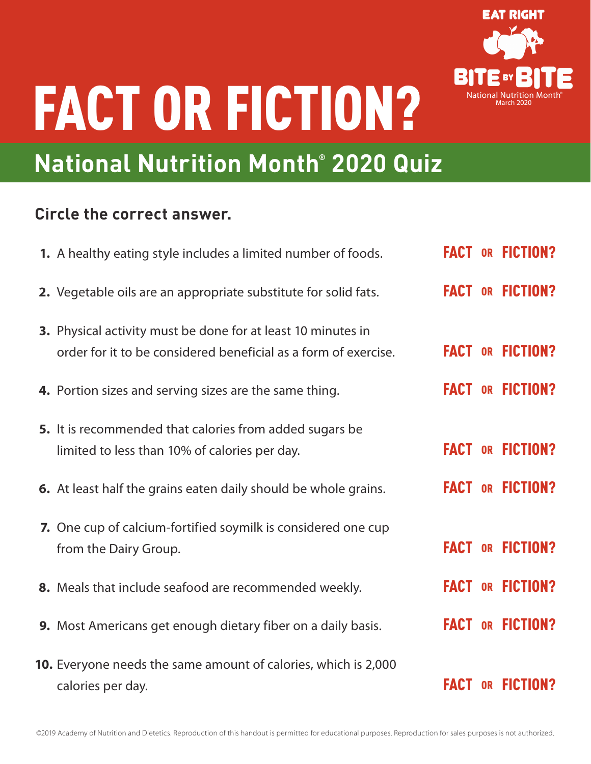

# FACT OR FICTION?

## **National Nutrition Month® 2020 Quiz**

### **Circle the correct answer.**

| 1. A healthy eating style includes a limited number of foods.                                                                   |             | <b>FACT OR FICTION?</b> |
|---------------------------------------------------------------------------------------------------------------------------------|-------------|-------------------------|
| 2. Vegetable oils are an appropriate substitute for solid fats.                                                                 |             | <b>FACT OR FICTION?</b> |
| 3. Physical activity must be done for at least 10 minutes in<br>order for it to be considered beneficial as a form of exercise. |             | <b>FACT OR FICTION?</b> |
| 4. Portion sizes and serving sizes are the same thing.                                                                          |             | <b>FACT OR FICTION?</b> |
| 5. It is recommended that calories from added sugars be<br>limited to less than 10% of calories per day.                        |             | <b>FACT OR FICTION?</b> |
| 6. At least half the grains eaten daily should be whole grains.                                                                 |             | <b>FACT OR FICTION?</b> |
| 7. One cup of calcium-fortified soymilk is considered one cup<br>from the Dairy Group.                                          |             | <b>FACT OR FICTION?</b> |
| 8. Meals that include seafood are recommended weekly.                                                                           |             | <b>FACT OR FICTION?</b> |
| 9. Most Americans get enough dietary fiber on a daily basis.                                                                    |             | <b>FACT OR FICTION?</b> |
| <b>10.</b> Everyone needs the same amount of calories, which is 2,000<br>calories per day.                                      | <b>FACT</b> | <b>OR FICTION?</b>      |